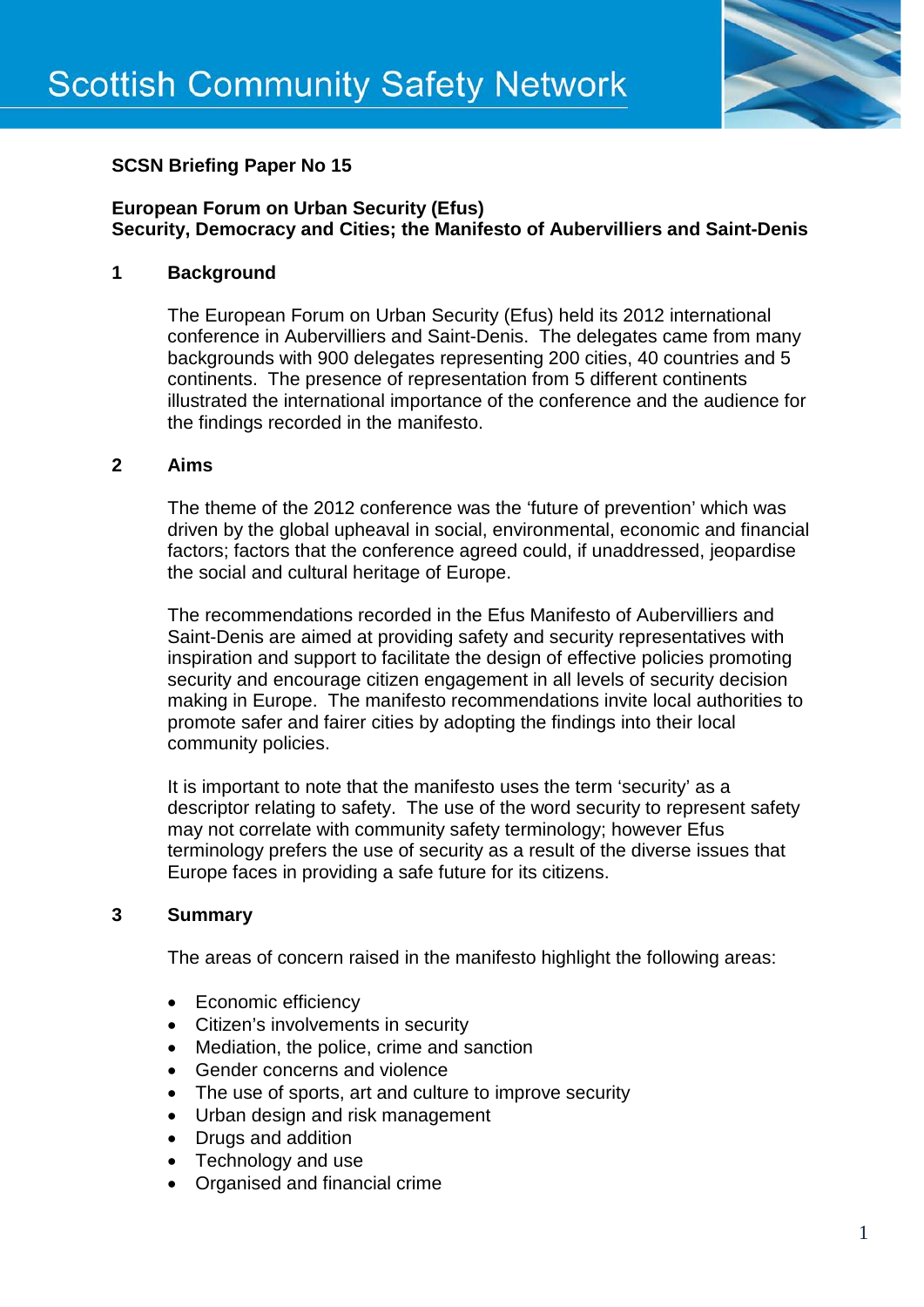

# **SCSN Briefing Paper No 15**

## **European Forum on Urban Security (Efus) Security, Democracy and Cities; the Manifesto of Aubervilliers and Saint-Denis**

## **1 Background**

The European Forum on Urban Security (Efus) held its 2012 international conference in Aubervilliers and Saint-Denis. The delegates came from many backgrounds with 900 delegates representing 200 cities, 40 countries and 5 continents. The presence of representation from 5 different continents illustrated the international importance of the conference and the audience for the findings recorded in the manifesto.

### **2 Aims**

The theme of the 2012 conference was the 'future of prevention' which was driven by the global upheaval in social, environmental, economic and financial factors; factors that the conference agreed could, if unaddressed, jeopardise the social and cultural heritage of Europe.

The recommendations recorded in the Efus Manifesto of Aubervilliers and Saint-Denis are aimed at providing safety and security representatives with inspiration and support to facilitate the design of effective policies promoting security and encourage citizen engagement in all levels of security decision making in Europe. The manifesto recommendations invite local authorities to promote safer and fairer cities by adopting the findings into their local community policies.

It is important to note that the manifesto uses the term 'security' as a descriptor relating to safety. The use of the word security to represent safety may not correlate with community safety terminology; however Efus terminology prefers the use of security as a result of the diverse issues that Europe faces in providing a safe future for its citizens.

## **3 Summary**

The areas of concern raised in the manifesto highlight the following areas:

- Economic efficiency
- Citizen's involvements in security
- Mediation, the police, crime and sanction
- Gender concerns and violence
- The use of sports, art and culture to improve security
- Urban design and risk management
- Drugs and addition
- Technology and use
- Organised and financial crime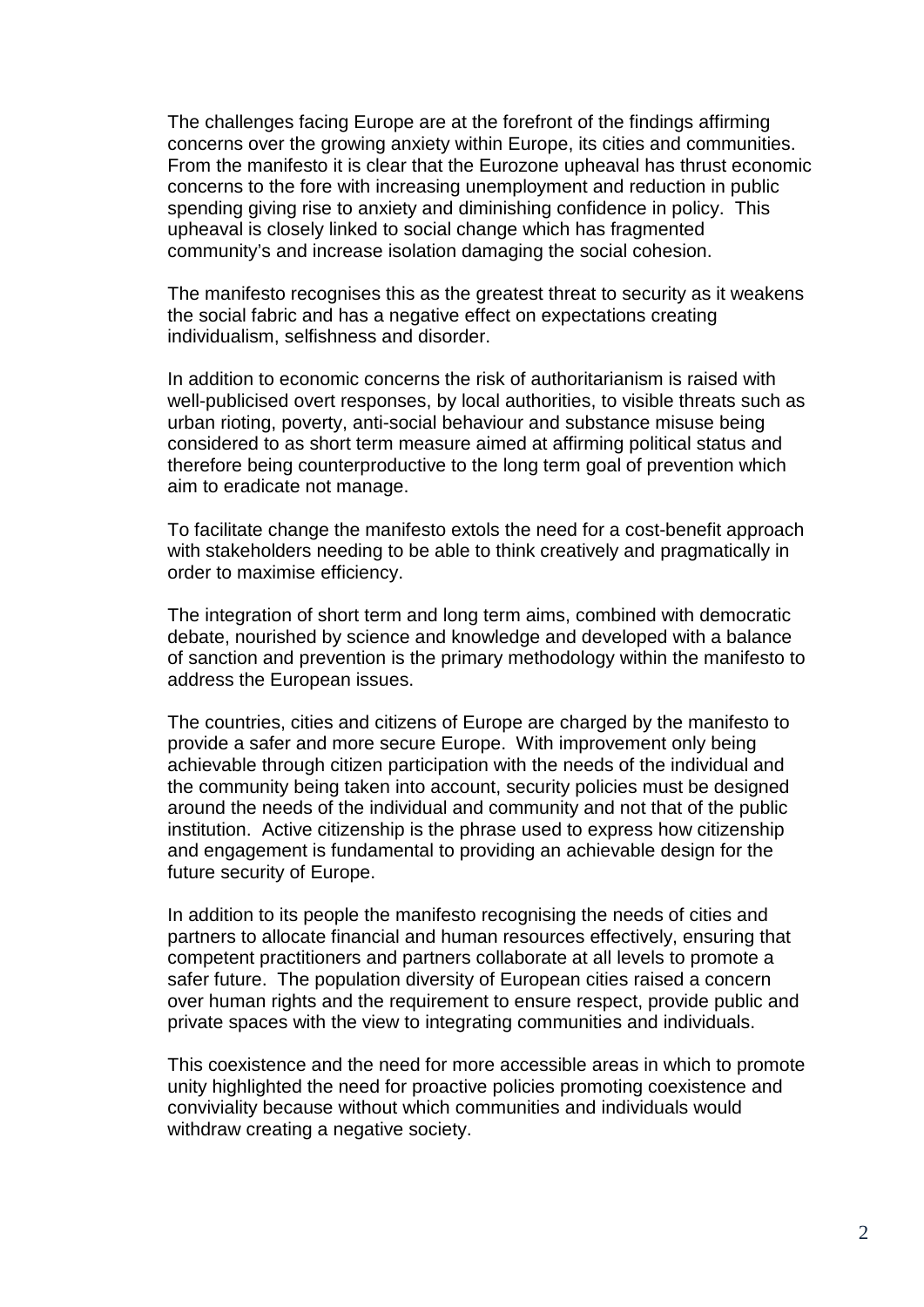The challenges facing Europe are at the forefront of the findings affirming concerns over the growing anxiety within Europe, its cities and communities. From the manifesto it is clear that the Eurozone upheaval has thrust economic concerns to the fore with increasing unemployment and reduction in public spending giving rise to anxiety and diminishing confidence in policy. This upheaval is closely linked to social change which has fragmented community's and increase isolation damaging the social cohesion.

The manifesto recognises this as the greatest threat to security as it weakens the social fabric and has a negative effect on expectations creating individualism, selfishness and disorder.

In addition to economic concerns the risk of authoritarianism is raised with well-publicised overt responses, by local authorities, to visible threats such as urban rioting, poverty, anti-social behaviour and substance misuse being considered to as short term measure aimed at affirming political status and therefore being counterproductive to the long term goal of prevention which aim to eradicate not manage.

To facilitate change the manifesto extols the need for a cost-benefit approach with stakeholders needing to be able to think creatively and pragmatically in order to maximise efficiency.

The integration of short term and long term aims, combined with democratic debate, nourished by science and knowledge and developed with a balance of sanction and prevention is the primary methodology within the manifesto to address the European issues.

The countries, cities and citizens of Europe are charged by the manifesto to provide a safer and more secure Europe. With improvement only being achievable through citizen participation with the needs of the individual and the community being taken into account, security policies must be designed around the needs of the individual and community and not that of the public institution. Active citizenship is the phrase used to express how citizenship and engagement is fundamental to providing an achievable design for the future security of Europe.

In addition to its people the manifesto recognising the needs of cities and partners to allocate financial and human resources effectively, ensuring that competent practitioners and partners collaborate at all levels to promote a safer future. The population diversity of European cities raised a concern over human rights and the requirement to ensure respect, provide public and private spaces with the view to integrating communities and individuals.

This coexistence and the need for more accessible areas in which to promote unity highlighted the need for proactive policies promoting coexistence and conviviality because without which communities and individuals would withdraw creating a negative society.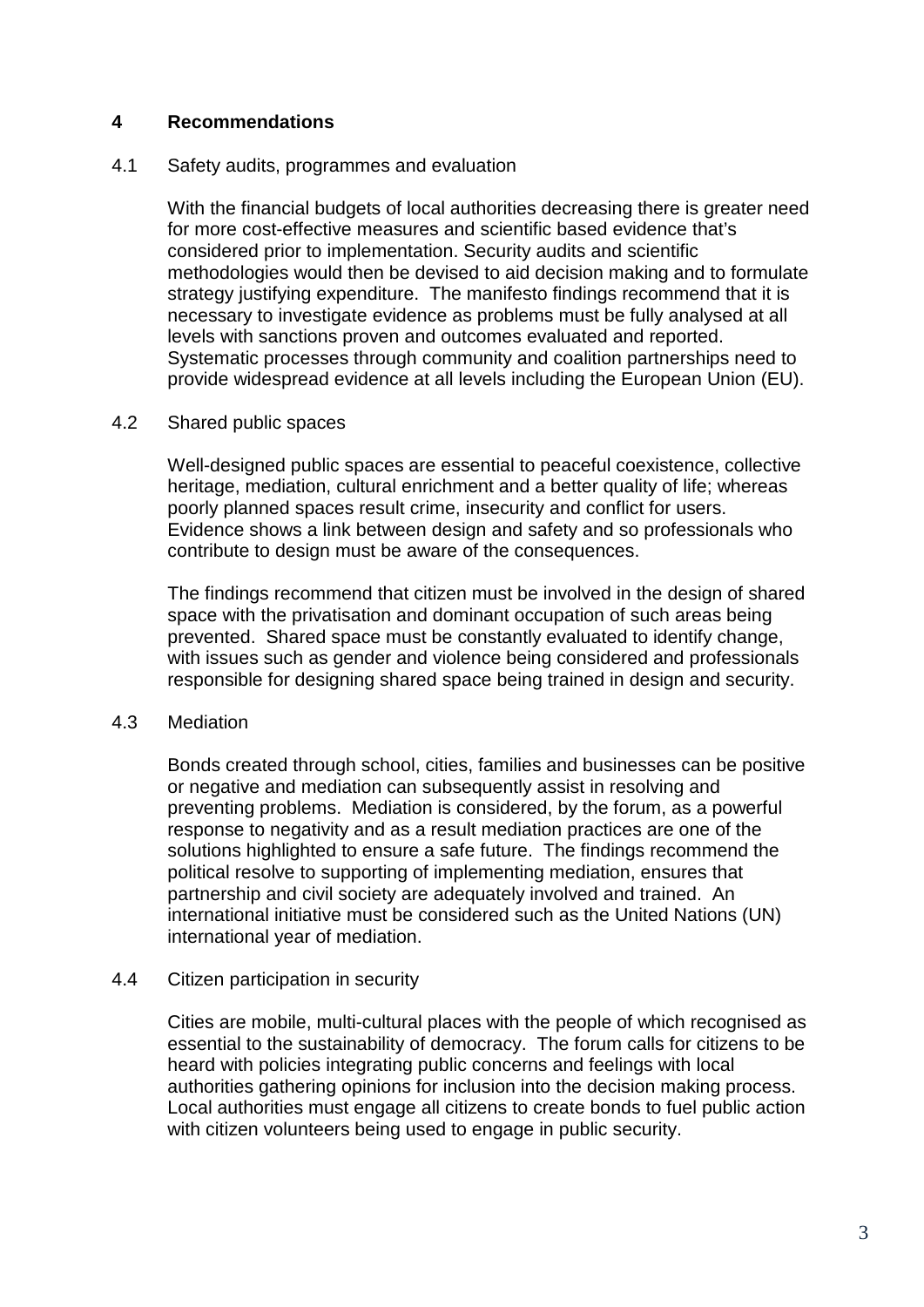## **4 Recommendations**

#### 4.1 Safety audits, programmes and evaluation

With the financial budgets of local authorities decreasing there is greater need for more cost-effective measures and scientific based evidence that's considered prior to implementation. Security audits and scientific methodologies would then be devised to aid decision making and to formulate strategy justifying expenditure. The manifesto findings recommend that it is necessary to investigate evidence as problems must be fully analysed at all levels with sanctions proven and outcomes evaluated and reported. Systematic processes through community and coalition partnerships need to provide widespread evidence at all levels including the European Union (EU).

#### 4.2 Shared public spaces

Well-designed public spaces are essential to peaceful coexistence, collective heritage, mediation, cultural enrichment and a better quality of life; whereas poorly planned spaces result crime, insecurity and conflict for users. Evidence shows a link between design and safety and so professionals who contribute to design must be aware of the consequences.

The findings recommend that citizen must be involved in the design of shared space with the privatisation and dominant occupation of such areas being prevented. Shared space must be constantly evaluated to identify change, with issues such as gender and violence being considered and professionals responsible for designing shared space being trained in design and security.

### 4.3 Mediation

Bonds created through school, cities, families and businesses can be positive or negative and mediation can subsequently assist in resolving and preventing problems. Mediation is considered, by the forum, as a powerful response to negativity and as a result mediation practices are one of the solutions highlighted to ensure a safe future. The findings recommend the political resolve to supporting of implementing mediation, ensures that partnership and civil society are adequately involved and trained. An international initiative must be considered such as the United Nations (UN) international year of mediation.

### 4.4 Citizen participation in security

Cities are mobile, multi-cultural places with the people of which recognised as essential to the sustainability of democracy. The forum calls for citizens to be heard with policies integrating public concerns and feelings with local authorities gathering opinions for inclusion into the decision making process. Local authorities must engage all citizens to create bonds to fuel public action with citizen volunteers being used to engage in public security.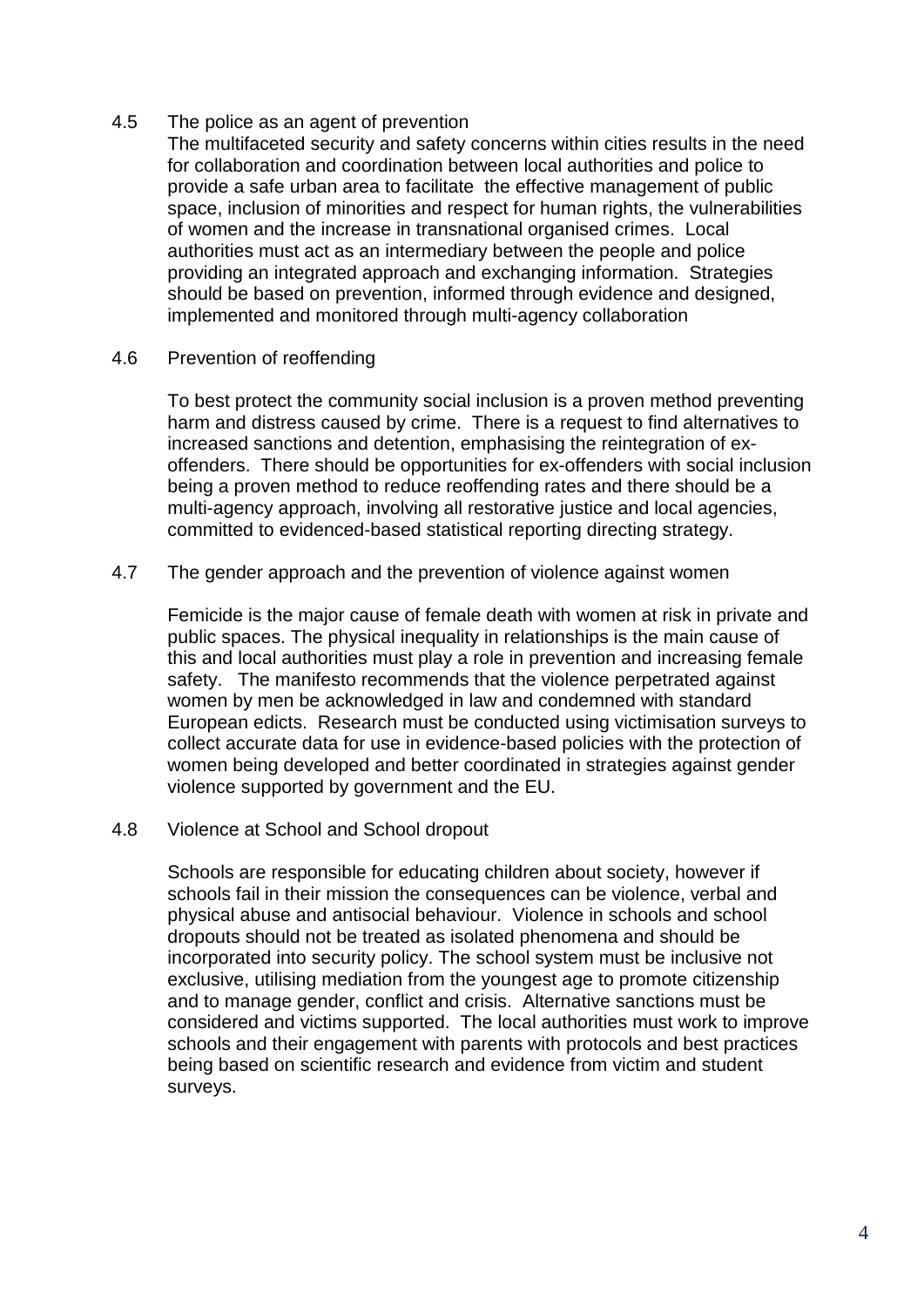4.5 The police as an agent of prevention

The multifaceted security and safety concerns within cities results in the need for collaboration and coordination between local authorities and police to provide a safe urban area to facilitate the effective management of public space, inclusion of minorities and respect for human rights, the vulnerabilities of women and the increase in transnational organised crimes. Local authorities must act as an intermediary between the people and police providing an integrated approach and exchanging information. Strategies should be based on prevention, informed through evidence and designed, implemented and monitored through multi-agency collaboration

### 4.6 Prevention of reoffending

To best protect the community social inclusion is a proven method preventing harm and distress caused by crime. There is a request to find alternatives to increased sanctions and detention, emphasising the reintegration of exoffenders. There should be opportunities for ex-offenders with social inclusion being a proven method to reduce reoffending rates and there should be a multi-agency approach, involving all restorative justice and local agencies, committed to evidenced-based statistical reporting directing strategy.

4.7 The gender approach and the prevention of violence against women

Femicide is the major cause of female death with women at risk in private and public spaces. The physical inequality in relationships is the main cause of this and local authorities must play a role in prevention and increasing female safety. The manifesto recommends that the violence perpetrated against women by men be acknowledged in law and condemned with standard European edicts. Research must be conducted using victimisation surveys to collect accurate data for use in evidence-based policies with the protection of women being developed and better coordinated in strategies against gender violence supported by government and the EU.

4.8 Violence at School and School dropout

Schools are responsible for educating children about society, however if schools fail in their mission the consequences can be violence, verbal and physical abuse and antisocial behaviour. Violence in schools and school dropouts should not be treated as isolated phenomena and should be incorporated into security policy. The school system must be inclusive not exclusive, utilising mediation from the youngest age to promote citizenship and to manage gender, conflict and crisis. Alternative sanctions must be considered and victims supported. The local authorities must work to improve schools and their engagement with parents with protocols and best practices being based on scientific research and evidence from victim and student surveys.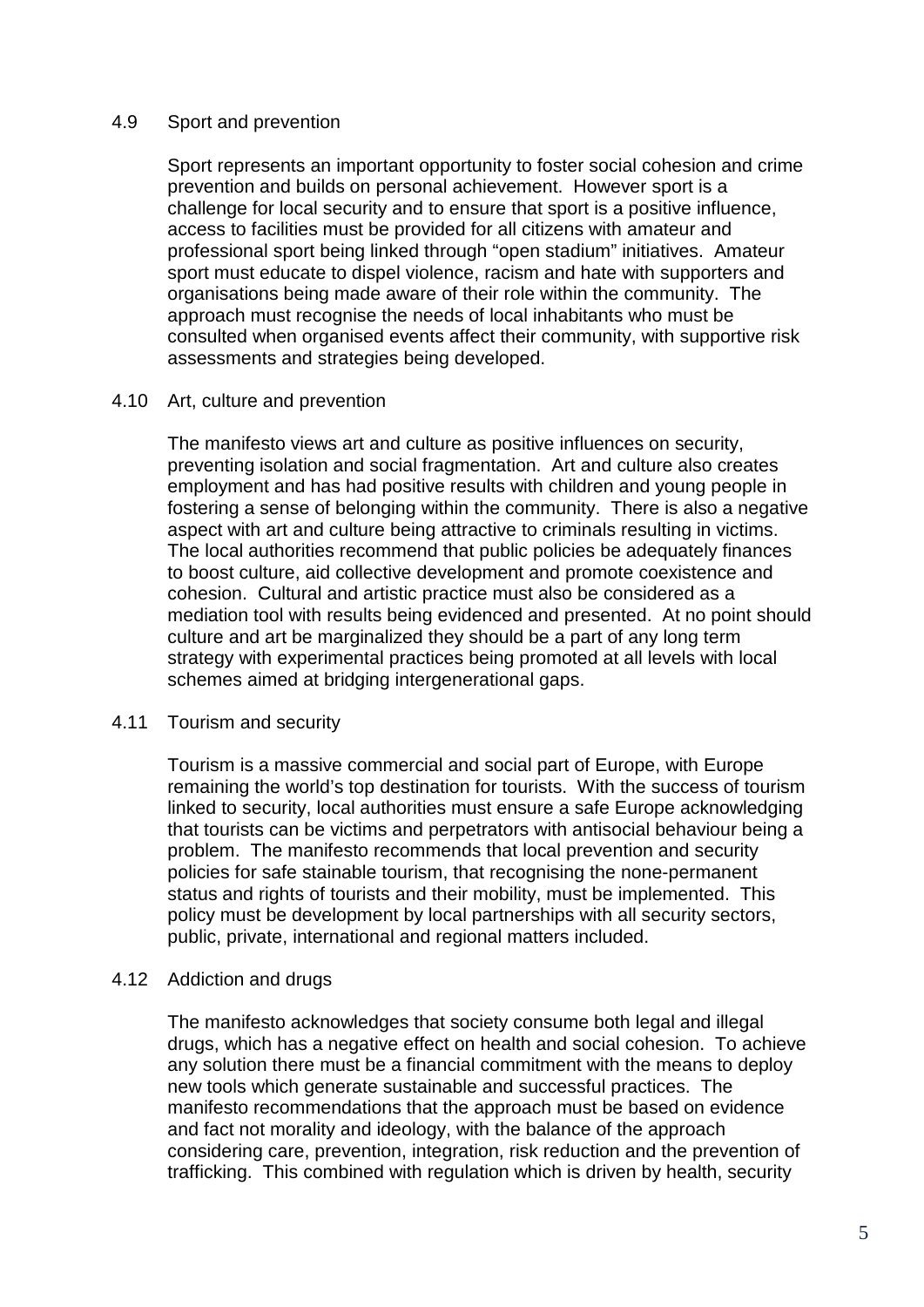#### 4.9 Sport and prevention

Sport represents an important opportunity to foster social cohesion and crime prevention and builds on personal achievement. However sport is a challenge for local security and to ensure that sport is a positive influence, access to facilities must be provided for all citizens with amateur and professional sport being linked through "open stadium" initiatives. Amateur sport must educate to dispel violence, racism and hate with supporters and organisations being made aware of their role within the community. The approach must recognise the needs of local inhabitants who must be consulted when organised events affect their community, with supportive risk assessments and strategies being developed.

#### 4.10 Art, culture and prevention

The manifesto views art and culture as positive influences on security, preventing isolation and social fragmentation. Art and culture also creates employment and has had positive results with children and young people in fostering a sense of belonging within the community. There is also a negative aspect with art and culture being attractive to criminals resulting in victims. The local authorities recommend that public policies be adequately finances to boost culture, aid collective development and promote coexistence and cohesion. Cultural and artistic practice must also be considered as a mediation tool with results being evidenced and presented. At no point should culture and art be marginalized they should be a part of any long term strategy with experimental practices being promoted at all levels with local schemes aimed at bridging intergenerational gaps.

#### 4.11 Tourism and security

Tourism is a massive commercial and social part of Europe, with Europe remaining the world's top destination for tourists. With the success of tourism linked to security, local authorities must ensure a safe Europe acknowledging that tourists can be victims and perpetrators with antisocial behaviour being a problem. The manifesto recommends that local prevention and security policies for safe stainable tourism, that recognising the none-permanent status and rights of tourists and their mobility, must be implemented. This policy must be development by local partnerships with all security sectors, public, private, international and regional matters included.

### 4.12 Addiction and drugs

The manifesto acknowledges that society consume both legal and illegal drugs, which has a negative effect on health and social cohesion. To achieve any solution there must be a financial commitment with the means to deploy new tools which generate sustainable and successful practices. The manifesto recommendations that the approach must be based on evidence and fact not morality and ideology, with the balance of the approach considering care, prevention, integration, risk reduction and the prevention of trafficking. This combined with regulation which is driven by health, security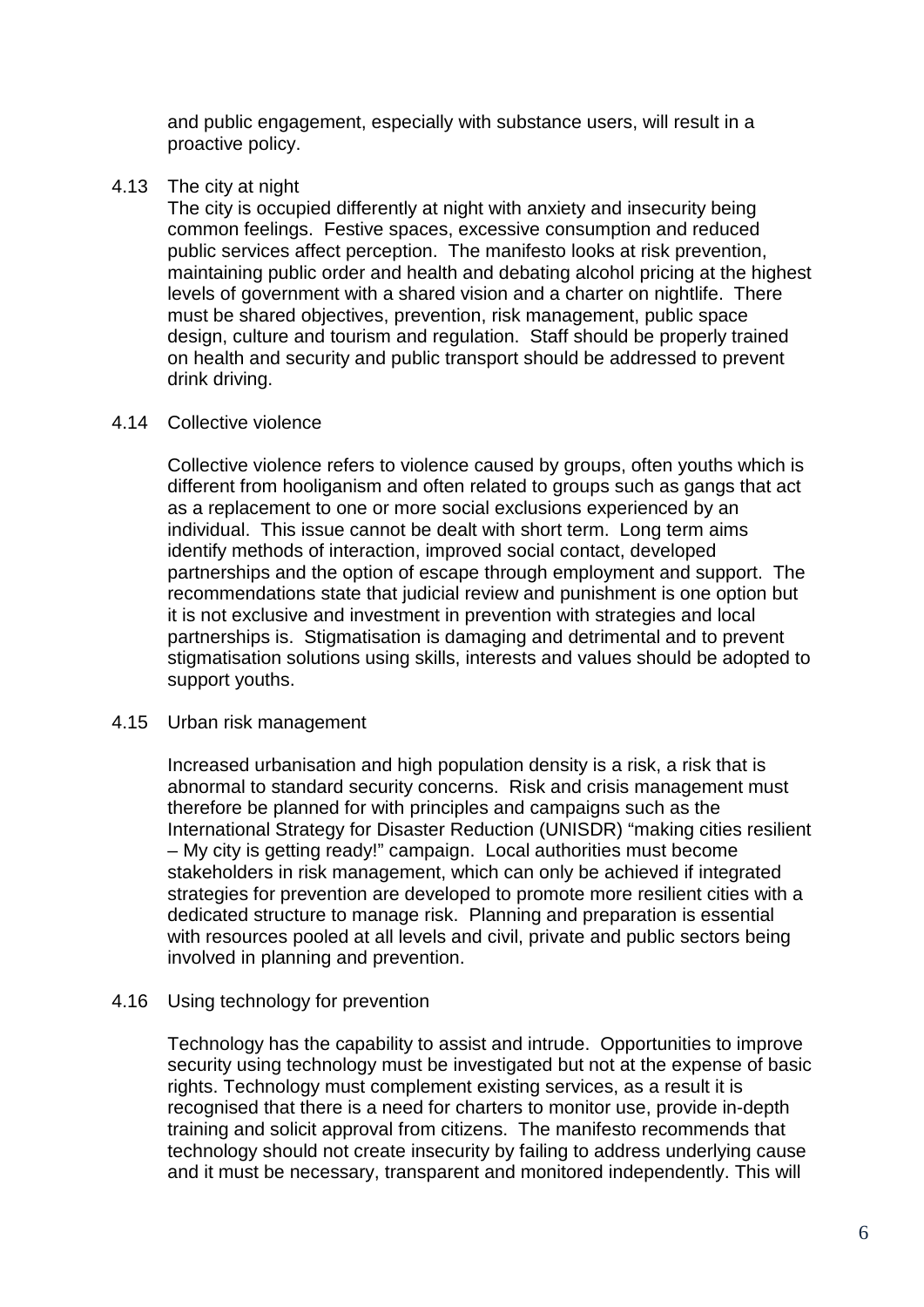and public engagement, especially with substance users, will result in a proactive policy.

4.13 The city at night

The city is occupied differently at night with anxiety and insecurity being common feelings. Festive spaces, excessive consumption and reduced public services affect perception. The manifesto looks at risk prevention, maintaining public order and health and debating alcohol pricing at the highest levels of government with a shared vision and a charter on nightlife. There must be shared objectives, prevention, risk management, public space design, culture and tourism and regulation. Staff should be properly trained on health and security and public transport should be addressed to prevent drink driving.

#### 4.14 Collective violence

Collective violence refers to violence caused by groups, often youths which is different from hooliganism and often related to groups such as gangs that act as a replacement to one or more social exclusions experienced by an individual. This issue cannot be dealt with short term. Long term aims identify methods of interaction, improved social contact, developed partnerships and the option of escape through employment and support. The recommendations state that judicial review and punishment is one option but it is not exclusive and investment in prevention with strategies and local partnerships is. Stigmatisation is damaging and detrimental and to prevent stigmatisation solutions using skills, interests and values should be adopted to support youths.

#### 4.15 Urban risk management

Increased urbanisation and high population density is a risk, a risk that is abnormal to standard security concerns. Risk and crisis management must therefore be planned for with principles and campaigns such as the International Strategy for Disaster Reduction (UNISDR) "making cities resilient – My city is getting ready!" campaign. Local authorities must become stakeholders in risk management, which can only be achieved if integrated strategies for prevention are developed to promote more resilient cities with a dedicated structure to manage risk. Planning and preparation is essential with resources pooled at all levels and civil, private and public sectors being involved in planning and prevention.

#### 4.16 Using technology for prevention

Technology has the capability to assist and intrude. Opportunities to improve security using technology must be investigated but not at the expense of basic rights. Technology must complement existing services, as a result it is recognised that there is a need for charters to monitor use, provide in-depth training and solicit approval from citizens. The manifesto recommends that technology should not create insecurity by failing to address underlying cause and it must be necessary, transparent and monitored independently. This will